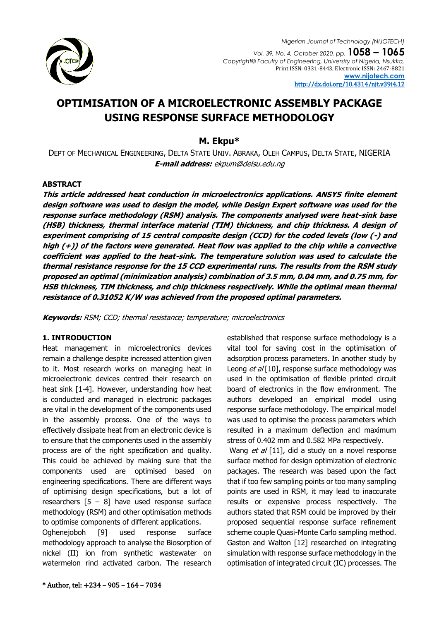

# **OPTIMISATION OF A MICROELECTRONIC ASSEMBLY PACKAGE USING RESPONSE SURFACE METHODOLOGY**

# **M. Ekpu\***

DEPT OF MECHANICAL ENGINEERING, DELTA STATE UNIV. ABRAKA, OLEH CAMPUS, DELTA STATE, NIGERIA **E-mail address:** [ekpum@delsu.edu.ng](mailto:ekpum@delsu.edu.ng)

### **ABSTRACT**

**This article addressed heat conduction in microelectronics applications. ANSYS finite element design software was used to design the model, while Design Expert software was used for the response surface methodology (RSM) analysis. The components analysed were heat-sink base (HSB) thickness, thermal interface material (TIM) thickness, and chip thickness. A design of experiment comprising of 15 central composite design (CCD) for the coded levels (low (-) and high (+)) of the factors were generated. Heat flow was applied to the chip while a convective coefficient was applied to the heat-sink. The temperature solution was used to calculate the thermal resistance response for the 15 CCD experimental runs. The results from the RSM study proposed an optimal (minimization analysis) combination of 3.5 mm, 0.04 mm, and 0.75 mm, for HSB thickness, TIM thickness, and chip thickness respectively. While the optimal mean thermal resistance of 0.31052 K/W was achieved from the proposed optimal parameters.**

**Keywords:** RSM; CCD; thermal resistance; temperature; microelectronics

# **1. INTRODUCTION**

Heat management in microelectronics devices remain a challenge despite increased attention given to it. Most research works on managing heat in microelectronic devices centred their research on heat sink [1-4]. However, understanding how heat is conducted and managed in electronic packages are vital in the development of the components used in the assembly process. One of the ways to effectively dissipate heat from an electronic device is to ensure that the components used in the assembly process are of the right specification and quality. This could be achieved by making sure that the components used are optimised based on engineering specifications. There are different ways of optimising design specifications, but a lot of researchers  $[5 - 8]$  have used response surface methodology (RSM) and other optimisation methods to optimise components of different applications.

Oghenejoboh [9] used response surface methodology approach to analyse the Biosorption of nickel (II) ion from synthetic wastewater on watermelon rind activated carbon. The research

established that response surface methodology is a vital tool for saving cost in the optimisation of adsorption process parameters. In another study by Leong  $et al [10]$ , response surface methodology was used in the optimisation of flexible printed circuit board of electronics in the flow environment. The authors developed an empirical model using response surface methodology. The empirical model was used to optimise the process parameters which resulted in a maximum deflection and maximum stress of 0.402 mm and 0.582 MPa respectively.

Wang et al [11], did a study on a novel response surface method for design optimization of electronic packages. The research was based upon the fact that if too few sampling points or too many sampling points are used in RSM, it may lead to inaccurate results or expensive process respectively. The authors stated that RSM could be improved by their proposed sequential response surface refinement scheme couple Quasi-Monte Carlo sampling method. Gaston and Walton [12] researched on integrating simulation with response surface methodology in the optimisation of integrated circuit (IC) processes. The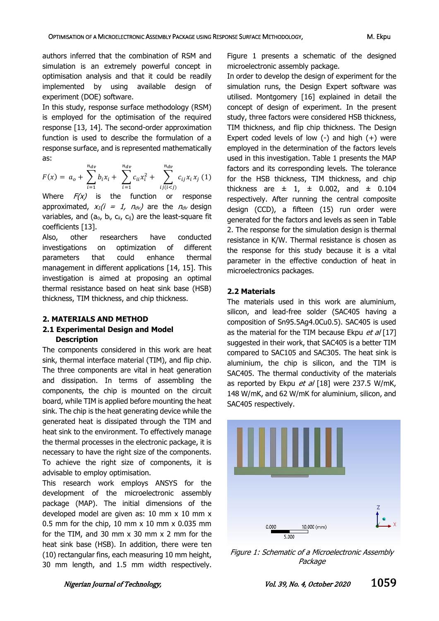authors inferred that the combination of RSM and simulation is an extremely powerful concept in optimisation analysis and that it could be readily implemented by using available design of experiment (DOE) software.

In this study, response surface methodology (RSM) is employed for the optimisation of the required response [13, 14]. The second-order approximation function is used to describe the formulation of a response surface, and is represented mathematically as:

$$
F(x) = a_o + \sum_{i=1}^{n_{dv}} b_i x_i + \sum_{i=1}^{n_{dv}} c_{ii} x_i^2 + \sum_{ij(i (1)
$$

Where  $F(x)$  is the function or response approximated,  $x_1(i = 1, n_{dv})$  are the  $n_{dv}$  design variables, and ( $a_0$ ,  $b_i$ ,  $c_{ii}$ ,  $c_{ij}$ ) are the least-square fit coefficients [13].

Also, other researchers have conducted investigations on optimization of different parameters that could enhance thermal management in different applications [14, 15]. This investigation is aimed at proposing an optimal thermal resistance based on heat sink base (HSB) thickness, TIM thickness, and chip thickness.

#### **2. MATERIALS AND METHOD**

# **2.1 Experimental Design and Model Description**

The components considered in this work are heat sink, thermal interface material (TIM), and flip chip. The three components are vital in heat generation and dissipation. In terms of assembling the components, the chip is mounted on the circuit board, while TIM is applied before mounting the heat sink. The chip is the heat generating device while the generated heat is dissipated through the TIM and heat sink to the environment. To effectively manage the thermal processes in the electronic package, it is necessary to have the right size of the components. To achieve the right size of components, it is advisable to employ optimisation.

This research work employs ANSYS for the development of the microelectronic assembly package (MAP). The initial dimensions of the developed model are given as: 10 mm x 10 mm x 0.5 mm for the chip, 10 mm  $\times$  10 mm  $\times$  0.035 mm for the TIM, and 30 mm x 30 mm x 2 mm for the heat sink base (HSB). In addition, there were ten (10) rectangular fins, each measuring 10 mm height, 30 mm length, and 1.5 mm width respectively.

Figure 1 presents a schematic of the designed microelectronic assembly package.

In order to develop the design of experiment for the simulation runs, the Design Expert software was utilised. Montgomery [16] explained in detail the concept of design of experiment. In the present study, three factors were considered HSB thickness, TIM thickness, and flip chip thickness. The Design Expert coded levels of low  $(-)$  and high  $(+)$  were employed in the determination of the factors levels used in this investigation. Table 1 presents the MAP factors and its corresponding levels. The tolerance for the HSB thickness, TIM thickness, and chip thickness are  $\pm$  1,  $\pm$  0.002, and  $\pm$  0.104 respectively. After running the central composite design (CCD), a fifteen (15) run order were generated for the factors and levels as seen in Table 2. The response for the simulation design is thermal resistance in K/W. Thermal resistance is chosen as the response for this study because it is a vital parameter in the effective conduction of heat in microelectronics packages.

# **2.2 Materials**

The materials used in this work are aluminium, silicon, and lead-free solder (SAC405 having a composition of Sn95.5Ag4.0Cu0.5). SAC405 is used as the material for the TIM because Ekpu  $et al$  [17] suggested in their work, that SAC405 is a better TIM compared to SAC105 and SAC305. The heat sink is aluminium, the chip is silicon, and the TIM is SAC405. The thermal conductivity of the materials as reported by Ekpu et  $a/$  [18] were 237.5 W/mK, 148 W/mK, and 62 W/mK for aluminium, silicon, and SAC405 respectively.



Figure 1: Schematic of a Microelectronic Assembly Package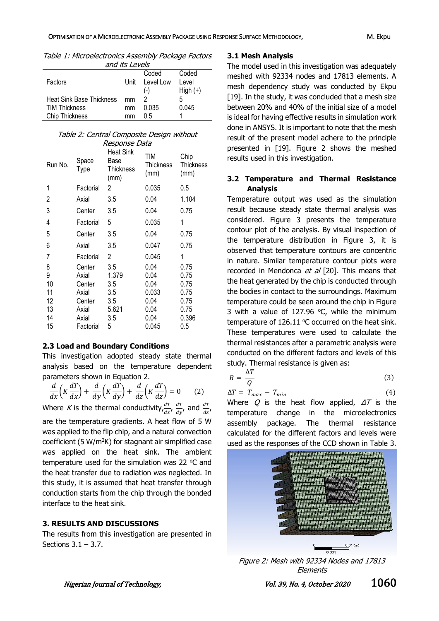Table 1: Microelectronics Assembly Package Factors and its Lougle

| <i>unu ita L</i> uvu <i>a</i> |  |  |  |  |  |  |
|-------------------------------|--|--|--|--|--|--|
|                               |  |  |  |  |  |  |
|                               |  |  |  |  |  |  |
|                               |  |  |  |  |  |  |
|                               |  |  |  |  |  |  |
|                               |  |  |  |  |  |  |
|                               |  |  |  |  |  |  |
|                               |  |  |  |  |  |  |

Table 2: Central Composite Design without Response Data

| Run No.        | Space<br>Type | <b>Heat Sink</b><br>Base<br><b>Thickness</b><br>(mm) | TIM<br>Thickness<br>(mm) | Chip<br>Thickness<br>(mm) |
|----------------|---------------|------------------------------------------------------|--------------------------|---------------------------|
| 1              | Factorial     | $\mathbf{2}^{\circ}$                                 | 0.035                    | $0.5\,$                   |
| $\overline{2}$ | Axial         | 3.5                                                  | 0.04                     | 1.104                     |
| 3              | Center        | 3.5                                                  | 0.04                     | 0.75                      |
| 4              | Factorial     | 5                                                    | 0.035                    | 1                         |
| 5              | Center        | 3.5                                                  | 0.04                     | 0.75                      |
| 6              | Axial         | 3.5                                                  | 0.047                    | 0.75                      |
| 7              | Factorial     | 2                                                    | 0.045                    | 1                         |
| 8              | Center        | 3.5                                                  | 0.04                     | 0.75                      |
| 9              | Axial         | 1.379                                                | 0.04                     | 0.75                      |
| 10             | Center        | 3.5                                                  | 0.04                     | 0.75                      |
| 11             | Axial         | 3.5                                                  | 0.033                    | 0.75                      |
| 12             | Center        | 3.5                                                  | 0.04                     | 0.75                      |
| 13             | Axial         | 5.621                                                | 0.04                     | 0.75                      |
| 14             | Axial         | 3.5                                                  | 0.04                     | 0.396                     |
| 15             | Factorial     | 5                                                    | 0.045                    | 0.5                       |

#### **2.3 Load and Boundary Conditions**

This investigation adopted steady state thermal analysis based on the temperature dependent parameters shown in Equation 2.

$$
\frac{d}{dx}\left(K\frac{dT}{dx}\right) + \frac{d}{dy}\left(K\frac{dT}{dy}\right) + \frac{d}{dz}\left(K\frac{dT}{dz}\right) = 0 \tag{2}
$$

Where K is the thermal conductivity,  $\frac{dT}{dx}$ ,  $\frac{dT}{dy}$  $rac{dT}{dy}$ , and  $rac{dT}{dz}$ , are the temperature gradients. A heat flow of 5 W was applied to the flip chip, and a natural convection coefficient (5 W/m<sup>2</sup>K) for stagnant air simplified case was applied on the heat sink. The ambient temperature used for the simulation was 22  $^{\circ}$ C and the heat transfer due to radiation was neglected. In this study, it is assumed that heat transfer through conduction starts from the chip through the bonded interface to the heat sink.

# **3. RESULTS AND DISCUSSIONS**

The results from this investigation are presented in Sections  $3.1 - 3.7$ .

#### **3.1 Mesh Analysis**

The model used in this investigation was adequately meshed with 92334 nodes and 17813 elements. A mesh dependency study was conducted by Ekpu [19]. In the study, it was concluded that a mesh size between 20% and 40% of the initial size of a model is ideal for having effective results in simulation work done in ANSYS. It is important to note that the mesh result of the present model adhere to the principle presented in [19]. Figure 2 shows the meshed results used in this investigation.

### **3.2 Temperature and Thermal Resistance Analysis**

Temperature output was used as the simulation result because steady state thermal analysis was considered. Figure 3 presents the temperature contour plot of the analysis. By visual inspection of the temperature distribution in Figure 3, it is observed that temperature contours are concentric in nature. Similar temperature contour plots were recorded in Mendonca et al [20]. This means that the heat generated by the chip is conducted through the bodies in contact to the surroundings. Maximum temperature could be seen around the chip in Figure 3 with a value of 127.96  $°C$ , while the minimum temperature of 126.11  $\degree$ C occurred on the heat sink. These temperatures were used to calculate the thermal resistances after a parametric analysis were conducted on the different factors and levels of this study. Thermal resistance is given as:

$$
R = \frac{\Delta T}{Q} \tag{3}
$$

$$
\Delta T = T_{max} - T_{min} \tag{4}
$$

Where Q is the heat flow applied,  $\Delta T$  is the temperature change in the microelectronics assembly package. The thermal resistance calculated for the different factors and levels were used as the responses of the CCD shown in Table 3.



Figure 2: Mesh with 92334 Nodes and 17813 Elements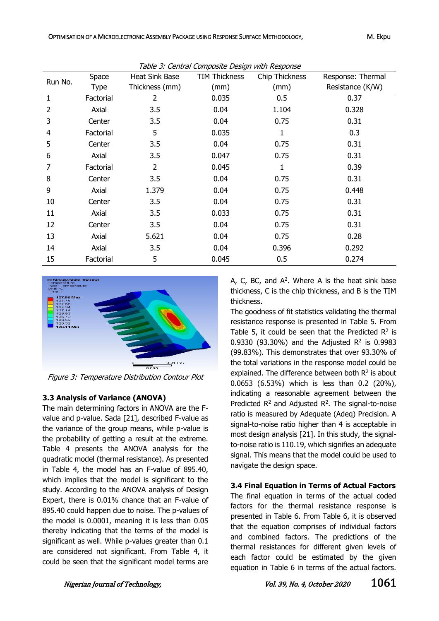| Run No. | Space       | Heat Sink Base | <b>TIM Thickness</b> | Chip Thickness | Response: Thermal |  |
|---------|-------------|----------------|----------------------|----------------|-------------------|--|
|         | <b>Type</b> | Thickness (mm) | (mm)                 | (mm)           | Resistance (K/W)  |  |
| 1       | Factorial   | 2              | 0.035                | 0.5            | 0.37              |  |
| 2       | Axial       | 3.5            | 0.04                 | 1.104          | 0.328             |  |
| 3       | Center      | 3.5            | 0.04                 | 0.75           | 0.31              |  |
| 4       | Factorial   | 5              | 0.035                | $\mathbf{1}$   | 0.3               |  |
| 5       | Center      | 3.5            | 0.04                 | 0.75           | 0.31              |  |
| 6       | Axial       | 3.5            | 0.047                | 0.75           | 0.31              |  |
| 7       | Factorial   | $\overline{2}$ | 0.045                | 1              | 0.39              |  |
| 8       | Center      | 3.5            | 0.04                 | 0.75           | 0.31              |  |
| 9       | Axial       | 1.379          | 0.04                 | 0.75           | 0.448             |  |
| 10      | Center      | 3.5            | 0.04                 | 0.75           | 0.31              |  |
| 11      | Axial       | 3.5            | 0.033                | 0.75           | 0.31              |  |
| 12      | Center      | 3.5            | 0.04                 | 0.75           | 0.31              |  |
| 13      | Axial       | 5.621          | 0.04                 | 0.75           | 0.28              |  |
| 14      | Axial       | 3.5            | 0.04                 | 0.396          | 0.292             |  |
| 15      | Factorial   | 5              | 0.045                | 0.5            | 0.274             |  |

Table 3: Central Composite Design with Response



Figure 3: Temperature Distribution Contour Plot

# **3.3 Analysis of Variance (ANOVA)**

The main determining factors in ANOVA are the Fvalue and p-value. Sada [21], described F-value as the variance of the group means, while p-value is the probability of getting a result at the extreme. Table 4 presents the ANOVA analysis for the quadratic model (thermal resistance). As presented in Table 4, the model has an F-value of 895.40, which implies that the model is significant to the study. According to the ANOVA analysis of Design Expert, there is 0.01% chance that an F-value of 895.40 could happen due to noise. The p-values of the model is 0.0001, meaning it is less than 0.05 thereby indicating that the terms of the model is significant as well. While p-values greater than 0.1 are considered not significant. From Table 4, it could be seen that the significant model terms are

A, C, BC, and  $A^2$ . Where A is the heat sink base thickness, C is the chip thickness, and B is the TIM thickness.

The goodness of fit statistics validating the thermal resistance response is presented in Table 5. From Table 5, it could be seen that the Predicted  $R^2$  is 0.9330 (93.30%) and the Adjusted  $R^2$  is 0.9983 (99.83%). This demonstrates that over 93.30% of the total variations in the response model could be explained. The difference between both  $R^2$  is about 0.0653 (6.53%) which is less than 0.2 (20%), indicating a reasonable agreement between the Predicted  $R^2$  and Adjusted  $R^2$ . The signal-to-noise ratio is measured by Adequate (Adeq) Precision. A signal-to-noise ratio higher than 4 is acceptable in most design analysis [21]. In this study, the signalto-noise ratio is 110.19, which signifies an adequate signal. This means that the model could be used to navigate the design space.

# **3.4 Final Equation in Terms of Actual Factors**

The final equation in terms of the actual coded factors for the thermal resistance response is presented in Table 6. From Table 6, it is observed that the equation comprises of individual factors and combined factors. The predictions of the thermal resistances for different given levels of each factor could be estimated by the given equation in Table 6 in terms of the actual factors.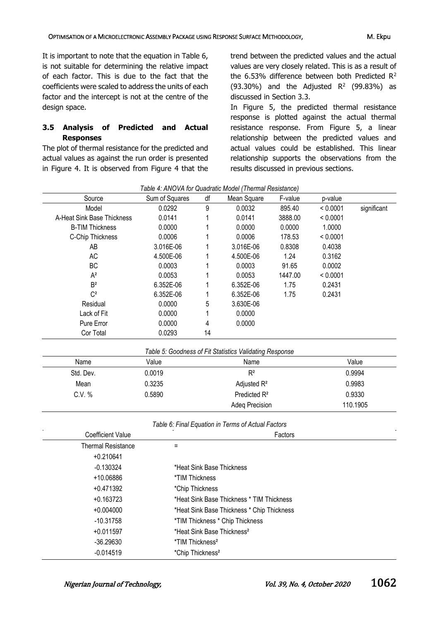It is important to note that the equation in Table 6, is not suitable for determining the relative impact of each factor. This is due to the fact that the coefficients were scaled to address the units of each factor and the intercept is not at the centre of the design space.

# **3.5 Analysis of Predicted and Actual Responses**

The plot of thermal resistance for the predicted and actual values as against the run order is presented in Figure 4. It is observed from Figure 4 that the

trend between the predicted values and the actual values are very closely related. This is as a result of the 6.53% difference between both Predicted  $R^2$  $(93.30\%)$  and the Adjusted R<sup>2</sup> (99.83%) as discussed in Section 3.3.

In Figure 5, the predicted thermal resistance response is plotted against the actual thermal resistance response. From Figure 5, a linear relationship between the predicted values and actual values could be established. This linear relationship supports the observations from the results discussed in previous sections.

|                                                         |                                            |                          | $\alpha$                                           |         |          |             |
|---------------------------------------------------------|--------------------------------------------|--------------------------|----------------------------------------------------|---------|----------|-------------|
| Source                                                  | Sum of Squares                             | df                       | Mean Square                                        | F-value | p-value  |             |
| Model                                                   | 0.0292                                     | 9                        | 0.0032                                             | 895.40  | < 0.0001 | significant |
| A-Heat Sink Base Thickness                              | 0.0141                                     |                          | 0.0141                                             | 3888.00 | < 0.0001 |             |
| <b>B-TIM Thickness</b>                                  | 0.0000                                     | 1                        | 0.0000                                             | 0.0000  | 1.0000   |             |
| C-Chip Thickness                                        | 0.0006                                     |                          | 0.0006                                             | 178.53  | < 0.0001 |             |
| AB                                                      | 3.016E-06                                  |                          | 3.016E-06                                          | 0.8308  | 0.4038   |             |
| <b>AC</b>                                               | 4.500E-06                                  |                          | 4.500E-06                                          | 1.24    | 0.3162   |             |
| BC                                                      | 0.0003                                     |                          | 0.0003                                             | 91.65   | 0.0002   |             |
| $A^2$                                                   | 0.0053                                     | 1                        | 0.0053                                             | 1447.00 | < 0.0001 |             |
| B <sup>2</sup>                                          | 6.352E-06                                  | 1                        | 6.352E-06                                          | 1.75    | 0.2431   |             |
| $\mathbb{C}^2$                                          | 6.352E-06                                  | 1                        | 6.352E-06                                          | 1.75    | 0.2431   |             |
| Residual                                                | 0.0000                                     | 5                        | 3.630E-06                                          |         |          |             |
| Lack of Fit                                             | 0.0000                                     | 1                        | 0.0000                                             |         |          |             |
| Pure Error                                              | 0.0000                                     | 4                        | 0.0000                                             |         |          |             |
| Cor Total                                               | 0.0293                                     | 14                       |                                                    |         |          |             |
| Table 5: Goodness of Fit Statistics Validating Response |                                            |                          |                                                    |         |          |             |
| Name                                                    | Value<br>Name                              |                          |                                                    | Value   |          |             |
| Std. Dev.                                               | $R^2$<br>0.0019                            |                          |                                                    |         |          | 0.9994      |
| Mean                                                    | 0.3235                                     |                          | Adjusted R <sup>2</sup>                            |         | 0.9983   |             |
| C.V. %                                                  | 0.5890                                     | Predicted R <sup>2</sup> |                                                    |         | 0.9330   |             |
|                                                         |                                            | Adeq Precision           |                                                    |         |          | 110.1905    |
|                                                         |                                            |                          | Table 6: Final Equation in Terms of Actual Factors |         |          |             |
| <b>Coefficient Value</b><br>Factors                     |                                            |                          |                                                    |         |          |             |
| <b>Thermal Resistance</b>                               | $=$                                        |                          |                                                    |         |          |             |
| $+0.210641$                                             |                                            |                          |                                                    |         |          |             |
| $-0.130324$                                             | *Heat Sink Base Thickness                  |                          |                                                    |         |          |             |
| +10.06886                                               | *TIM Thickness                             |                          |                                                    |         |          |             |
| $+0.471392$                                             | *Chip Thickness                            |                          |                                                    |         |          |             |
| $+0.163723$                                             | *Heat Sink Base Thickness * TIM Thickness  |                          |                                                    |         |          |             |
| $+0.004000$                                             | *Heat Sink Base Thickness * Chip Thickness |                          |                                                    |         |          |             |
| $-10.31758$                                             | *TIM Thickness * Chip Thickness            |                          |                                                    |         |          |             |
| $+0.011597$                                             | *Heat Sink Base Thickness <sup>2</sup>     |                          |                                                    |         |          |             |
| $-36.29630$                                             | *TIM Thickness <sup>2</sup>                |                          |                                                    |         |          |             |
| $-0.014519$                                             | *Chip Thickness <sup>2</sup>               |                          |                                                    |         |          |             |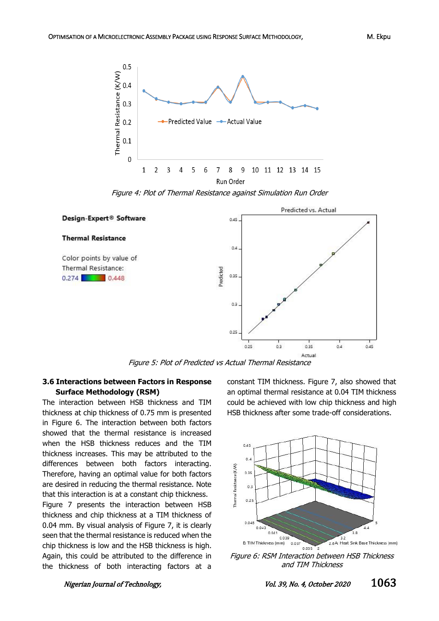

Figure 4: Plot of Thermal Resistance against Simulation Run Order



Figure 5: Plot of Predicted vs Actual Thermal Resistance

#### **3.6 Interactions between Factors in Response Surface Methodology (RSM)**

The interaction between HSB thickness and TIM thickness at chip thickness of 0.75 mm is presented in Figure 6. The interaction between both factors showed that the thermal resistance is increased when the HSB thickness reduces and the TIM thickness increases. This may be attributed to the differences between both factors interacting. Therefore, having an optimal value for both factors are desired in reducing the thermal resistance. Note that this interaction is at a constant chip thickness. Figure 7 presents the interaction between HSB thickness and chip thickness at a TIM thickness of 0.04 mm. By visual analysis of Figure 7, it is clearly seen that the thermal resistance is reduced when the chip thickness is low and the HSB thickness is high. Again, this could be attributed to the difference in

the thickness of both interacting factors at a

constant TIM thickness. Figure 7, also showed that an optimal thermal resistance at 0.04 TIM thickness could be achieved with low chip thickness and high HSB thickness after some trade-off considerations.



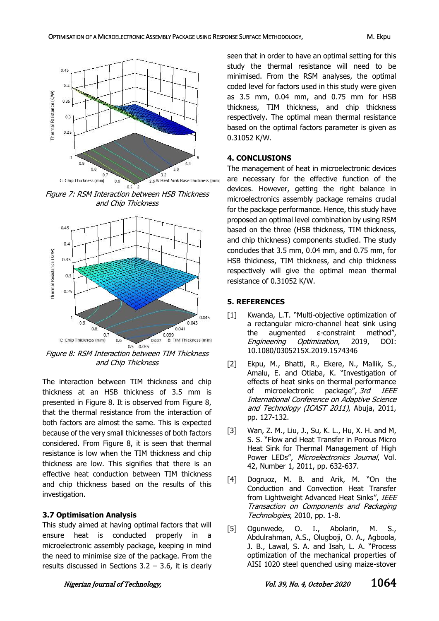

Figure 7: RSM Interaction between HSB Thickness and Chip Thickness



Figure 8: RSM Interaction between TIM Thickness and Chip Thickness

The interaction between TIM thickness and chip thickness at an HSB thickness of 3.5 mm is presented in Figure 8. It is observed from Figure 8, that the thermal resistance from the interaction of both factors are almost the same. This is expected because of the very small thicknesses of both factors considered. From Figure 8, it is seen that thermal resistance is low when the TIM thickness and chip thickness are low. This signifies that there is an effective heat conduction between TIM thickness and chip thickness based on the results of this investigation.

#### **3.7 Optimisation Analysis**

This study aimed at having optimal factors that will ensure heat is conducted properly in a microelectronic assembly package, keeping in mind the need to minimise size of the package. From the results discussed in Sections  $3.2 - 3.6$ , it is clearly seen that in order to have an optimal setting for this study the thermal resistance will need to be minimised. From the RSM analyses, the optimal coded level for factors used in this study were given as 3.5 mm, 0.04 mm, and 0.75 mm for HSB thickness, TIM thickness, and chip thickness respectively. The optimal mean thermal resistance based on the optimal factors parameter is given as 0.31052 K/W.

#### **4. CONCLUSIONS**

The management of heat in microelectronic devices are necessary for the effective function of the devices. However, getting the right balance in microelectronics assembly package remains crucial for the package performance. Hence, this study have proposed an optimal level combination by using RSM based on the three (HSB thickness, TIM thickness, and chip thickness) components studied. The study concludes that 3.5 mm, 0.04 mm, and 0.75 mm, for HSB thickness, TIM thickness, and chip thickness respectively will give the optimal mean thermal resistance of 0.31052 K/W.

#### **5. REFERENCES**

- [1] Kwanda, L.T. "Multi-objective optimization of a rectangular micro-channel heat sink using the augmented ε-constraint method", Engineering Optimization, 2019, DOI: 10.1080/0305215X.2019.1574346
- [2] Ekpu, M., Bhatti, R., Ekere, N., Mallik, S., Amalu, E. and Otiaba, K. "Investigation of effects of heat sinks on thermal performance of microelectronic package", 3rd IEEE International Conference on Adaptive Science and Technology (ICAST 2011), Abuja, 2011, pp. 127-132.
- [3] Wan, Z. M., Liu, J., Su, K. L., Hu, X. H. and M, S. S. "Flow and Heat Transfer in Porous Micro Heat Sink for Thermal Management of High Power LEDs", Microelectronics Journal, Vol. 42, Number 1, 2011, pp. 632-637.
- [4] Dogruoz, M. B. and Arik, M. "On the Conduction and Convection Heat Transfer from Lightweight Advanced Heat Sinks", IEEE Transaction on Components and Packaging Technologies, 2010, pp. 1-8.
- [5] Ogunwede, O. I., Abolarin, M. S., Abdulrahman, A.S., Olugboji, O. A., Agboola, J. B., Lawal, S. A. and Isah, L. A. "Process optimization of the mechanical properties of AISI 1020 steel quenched using maize-stover